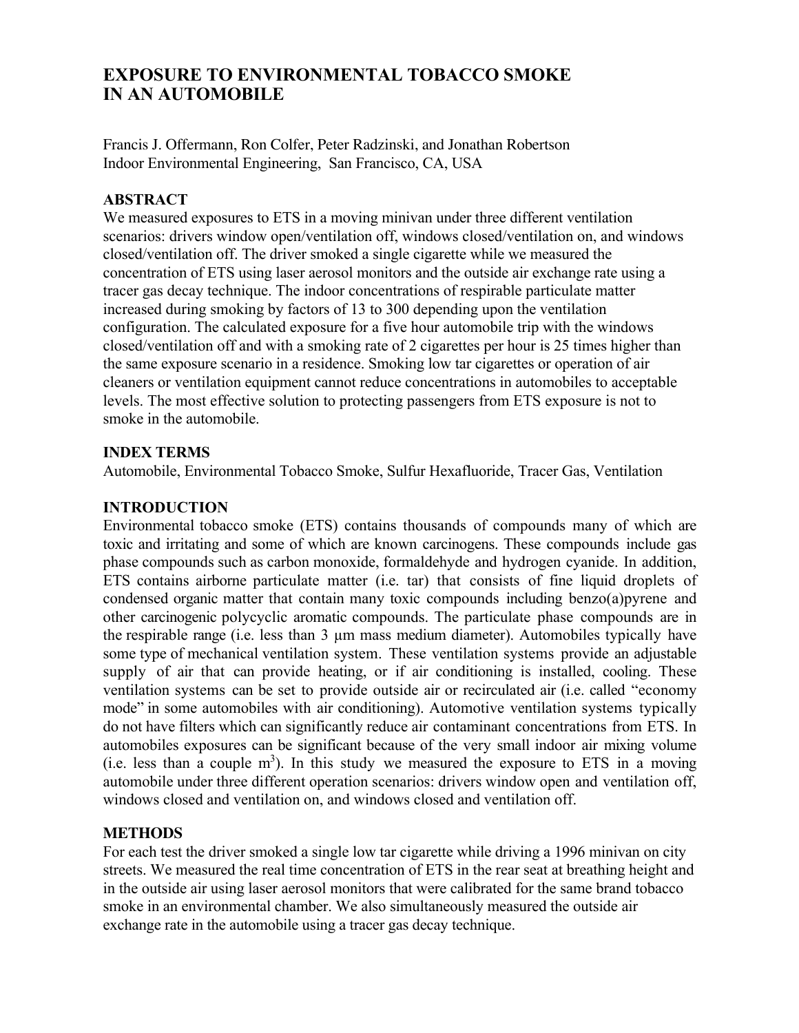# EXPOSURE TO ENVIRONMENTAL TOBACCO SMOKE IN AN AUTOMOBILE

Francis J. Offermann, Ron Colfer, Peter Radzinski, and Jonathan Robertson Indoor Environmental Engineering, San Francisco, CA, USA

### ABSTRACT

We measured exposures to ETS in a moving minivan under three different ventilation scenarios: drivers window open/ventilation off, windows closed/ventilation on, and windows closed/ventilation off. The driver smoked a single cigarette while we measured the concentration of ETS using laser aerosol monitors and the outside air exchange rate using a tracer gas decay technique. The indoor concentrations of respirable particulate matter increased during smoking by factors of 13 to 300 depending upon the ventilation configuration. The calculated exposure for a five hour automobile trip with the windows closed/ventilation off and with a smoking rate of 2 cigarettes per hour is 25 times higher than the same exposure scenario in a residence. Smoking low tar cigarettes or operation of air cleaners or ventilation equipment cannot reduce concentrations in automobiles to acceptable levels. The most effective solution to protecting passengers from ETS exposure is not to smoke in the automobile.

### INDEX TERMS

Automobile, Environmental Tobacco Smoke, Sulfur Hexafluoride, Tracer Gas, Ventilation

### INTRODUCTION

Environmental tobacco smoke (ETS) contains thousands of compounds many of which are toxic and irritating and some of which are known carcinogens. These compounds include gas phase compounds such as carbon monoxide, formaldehyde and hydrogen cyanide. In addition, ETS contains airborne particulate matter (i.e. tar) that consists of fine liquid droplets of condensed organic matter that contain many toxic compounds including benzo(a)pyrene and other carcinogenic polycyclic aromatic compounds. The particulate phase compounds are in the respirable range (i.e. less than 3 µm mass medium diameter). Automobiles typically have some type of mechanical ventilation system. These ventilation systems provide an adjustable supply of air that can provide heating, or if air conditioning is installed, cooling. These ventilation systems can be set to provide outside air or recirculated air (i.e. called "economy mode" in some automobiles with air conditioning). Automotive ventilation systems typically do not have filters which can significantly reduce air contaminant concentrations from ETS. In automobiles exposures can be significant because of the very small indoor air mixing volume (i.e. less than a couple  $m<sup>3</sup>$ ). In this study we measured the exposure to ETS in a moving automobile under three different operation scenarios: drivers window open and ventilation off, windows closed and ventilation on, and windows closed and ventilation off.

### **METHODS**

For each test the driver smoked a single low tar cigarette while driving a 1996 minivan on city streets. We measured the real time concentration of ETS in the rear seat at breathing height and in the outside air using laser aerosol monitors that were calibrated for the same brand tobacco smoke in an environmental chamber. We also simultaneously measured the outside air exchange rate in the automobile using a tracer gas decay technique.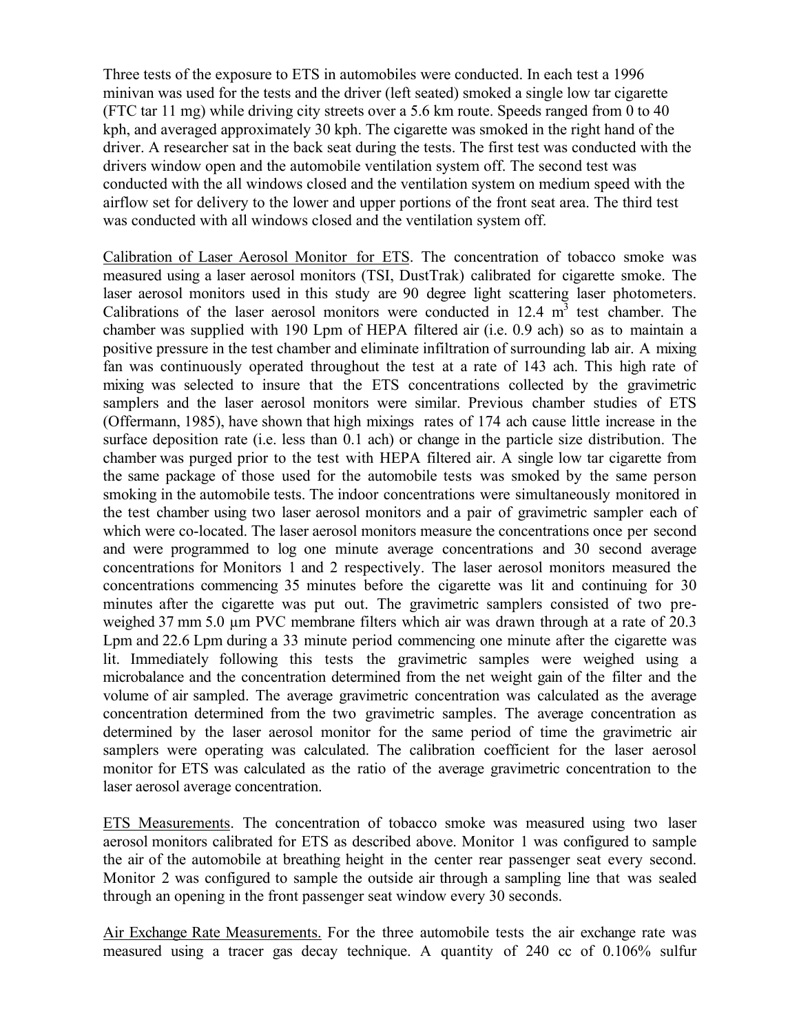Three tests of the exposure to ETS in automobiles were conducted. In each test a 1996 minivan was used for the tests and the driver (left seated) smoked a single low tar cigarette (FTC tar 11 mg) while driving city streets over a 5.6 km route. Speeds ranged from 0 to 40 kph, and averaged approximately 30 kph. The cigarette was smoked in the right hand of the driver. A researcher sat in the back seat during the tests. The first test was conducted with the drivers window open and the automobile ventilation system off. The second test was conducted with the all windows closed and the ventilation system on medium speed with the airflow set for delivery to the lower and upper portions of the front seat area. The third test was conducted with all windows closed and the ventilation system off.

Calibration of Laser Aerosol Monitor for ETS. The concentration of tobacco smoke was measured using a laser aerosol monitors (TSI, DustTrak) calibrated for cigarette smoke. The laser aerosol monitors used in this study are 90 degree light scattering laser photometers. Calibrations of the laser aerosol monitors were conducted in  $12.4 \text{ m}^3$  test chamber. The chamber was supplied with 190 Lpm of HEPA filtered air (i.e. 0.9 ach) so as to maintain a positive pressure in the test chamber and eliminate infiltration of surrounding lab air. A mixing fan was continuously operated throughout the test at a rate of 143 ach. This high rate of mixing was selected to insure that the ETS concentrations collected by the gravimetric samplers and the laser aerosol monitors were similar. Previous chamber studies of ETS (Offermann, 1985), have shown that high mixings rates of 174 ach cause little increase in the surface deposition rate (i.e. less than 0.1 ach) or change in the particle size distribution. The chamber was purged prior to the test with HEPA filtered air. A single low tar cigarette from the same package of those used for the automobile tests was smoked by the same person smoking in the automobile tests. The indoor concentrations were simultaneously monitored in the test chamber using two laser aerosol monitors and a pair of gravimetric sampler each of which were co-located. The laser aerosol monitors measure the concentrations once per second and were programmed to log one minute average concentrations and 30 second average concentrations for Monitors 1 and 2 respectively. The laser aerosol monitors measured the concentrations commencing 35 minutes before the cigarette was lit and continuing for 30 minutes after the cigarette was put out. The gravimetric samplers consisted of two preweighed 37 mm 5.0 um PVC membrane filters which air was drawn through at a rate of 20.3 Lpm and 22.6 Lpm during a 33 minute period commencing one minute after the cigarette was lit. Immediately following this tests the gravimetric samples were weighed using a microbalance and the concentration determined from the net weight gain of the filter and the volume of air sampled. The average gravimetric concentration was calculated as the average concentration determined from the two gravimetric samples. The average concentration as determined by the laser aerosol monitor for the same period of time the gravimetric air samplers were operating was calculated. The calibration coefficient for the laser aerosol monitor for ETS was calculated as the ratio of the average gravimetric concentration to the laser aerosol average concentration.

ETS Measurements. The concentration of tobacco smoke was measured using two laser aerosol monitors calibrated for ETS as described above. Monitor 1 was configured to sample the air of the automobile at breathing height in the center rear passenger seat every second. Monitor 2 was configured to sample the outside air through a sampling line that was sealed through an opening in the front passenger seat window every 30 seconds.

Air Exchange Rate Measurements. For the three automobile tests the air exchange rate was measured using a tracer gas decay technique. A quantity of 240 cc of 0.106% sulfur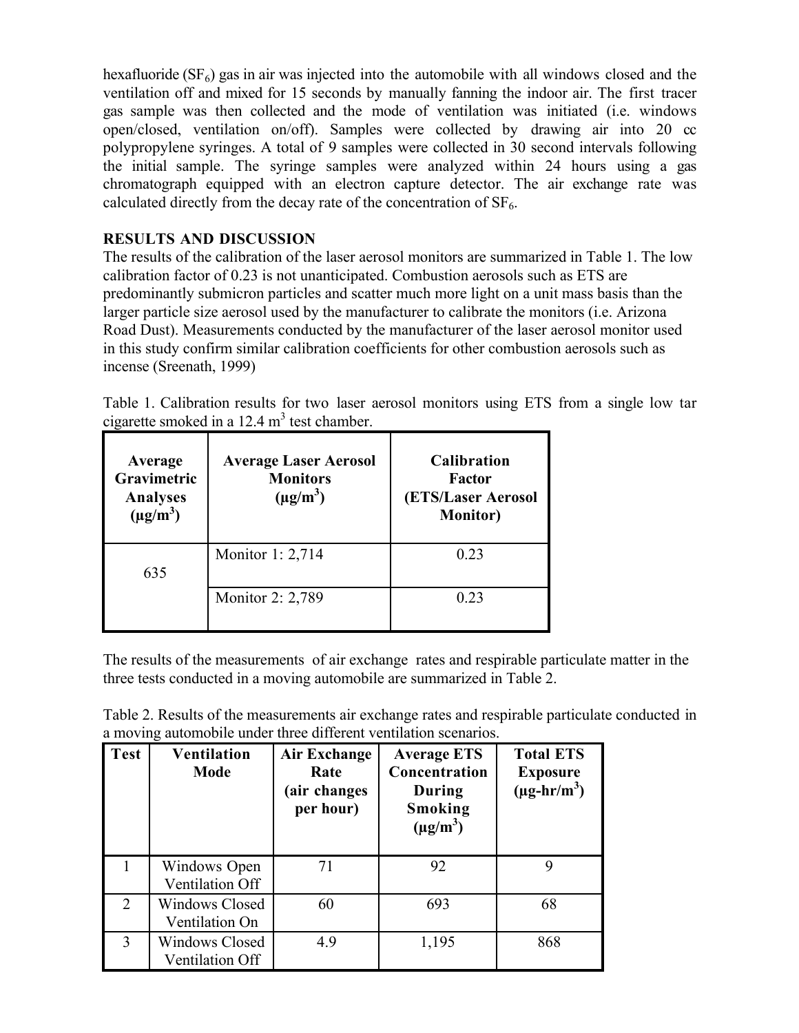hexafluoride ( $SF<sub>6</sub>$ ) gas in air was injected into the automobile with all windows closed and the ventilation off and mixed for 15 seconds by manually fanning the indoor air. The first tracer gas sample was then collected and the mode of ventilation was initiated (i.e. windows open/closed, ventilation on/off). Samples were collected by drawing air into 20 cc polypropylene syringes. A total of 9 samples were collected in 30 second intervals following the initial sample. The syringe samples were analyzed within 24 hours using a gas chromatograph equipped with an electron capture detector. The air exchange rate was calculated directly from the decay rate of the concentration of  $SF<sub>6</sub>$ .

## RESULTS AND DISCUSSION

The results of the calibration of the laser aerosol monitors are summarized in Table 1. The low calibration factor of 0.23 is not unanticipated. Combustion aerosols such as ETS are predominantly submicron particles and scatter much more light on a unit mass basis than the larger particle size aerosol used by the manufacturer to calibrate the monitors (i.e. Arizona Road Dust). Measurements conducted by the manufacturer of the laser aerosol monitor used in this study confirm similar calibration coefficients for other combustion aerosols such as incense (Sreenath, 1999)

Table 1. Calibration results for two laser aerosol monitors using ETS from a single low tar cigarette smoked in a  $12.4 \text{ m}^3$  test chamber.

| Average<br><b>Gravimetric</b><br><b>Analyses</b><br>$(\mu g/m^3)$ | <b>Average Laser Aerosol</b><br><b>Monitors</b><br>$(\mu g/m^3)$ | <b>Calibration</b><br>Factor<br><b>(ETS/Laser Aerosol)</b><br><b>Monitor</b> ) |
|-------------------------------------------------------------------|------------------------------------------------------------------|--------------------------------------------------------------------------------|
| 635                                                               | Monitor 1: 2,714                                                 | 0.23                                                                           |
|                                                                   | Monitor 2: 2,789                                                 | 0.23                                                                           |

The results of the measurements of air exchange rates and respirable particulate matter in the three tests conducted in a moving automobile are summarized in Table 2.

| <b>Test</b>    | <b>Ventilation</b><br><b>Mode</b>       | Air Exchange<br>Rate<br>(air changes<br>per hour) | <b>Average ETS</b><br>Concentration<br>During<br>Smoking<br>$(\mu g/m^3)$ | <b>Total ETS</b><br><b>Exposure</b><br>$(\mu g\text{-}hr/m^3)$ |
|----------------|-----------------------------------------|---------------------------------------------------|---------------------------------------------------------------------------|----------------------------------------------------------------|
|                | Windows Open<br>Ventilation Off         | 71                                                | 92                                                                        | 9                                                              |
| $\overline{2}$ | <b>Windows Closed</b><br>Ventilation On | 60                                                | 693                                                                       | 68                                                             |
| 3              | Windows Closed<br>Ventilation Off       | 4.9                                               | 1,195                                                                     | 868                                                            |

Table 2. Results of the measurements air exchange rates and respirable particulate conducted in a moving automobile under three different ventilation scenarios.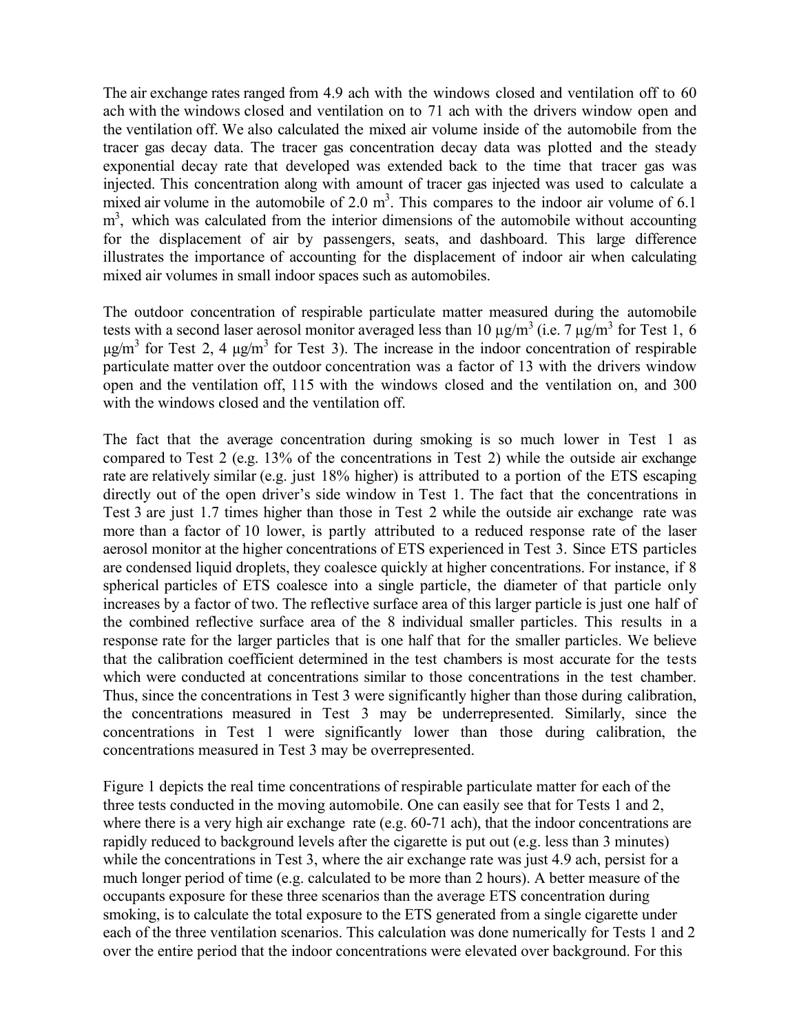The air exchange rates ranged from 4.9 ach with the windows closed and ventilation off to 60 ach with the windows closed and ventilation on to 71 ach with the drivers window open and the ventilation off. We also calculated the mixed air volume inside of the automobile from the tracer gas decay data. The tracer gas concentration decay data was plotted and the steady exponential decay rate that developed was extended back to the time that tracer gas was injected. This concentration along with amount of tracer gas injected was used to calculate a mixed air volume in the automobile of  $2.0 \text{ m}^3$ . This compares to the indoor air volume of 6.1 m<sup>3</sup>, which was calculated from the interior dimensions of the automobile without accounting for the displacement of air by passengers, seats, and dashboard. This large difference illustrates the importance of accounting for the displacement of indoor air when calculating mixed air volumes in small indoor spaces such as automobiles.

The outdoor concentration of respirable particulate matter measured during the automobile tests with a second laser aerosol monitor averaged less than 10  $\mu$ g/m<sup>3</sup> (i.e. 7  $\mu$ g/m<sup>3</sup> for Test 1, 6  $\mu$ g/m<sup>3</sup> for Test 2, 4  $\mu$ g/m<sup>3</sup> for Test 3). The increase in the indoor concentration of respirable particulate matter over the outdoor concentration was a factor of 13 with the drivers window open and the ventilation off, 115 with the windows closed and the ventilation on, and 300 with the windows closed and the ventilation off.

The fact that the average concentration during smoking is so much lower in Test 1 as compared to Test 2 (e.g. 13% of the concentrations in Test 2) while the outside air exchange rate are relatively similar (e.g. just 18% higher) is attributed to a portion of the ETS escaping directly out of the open driver's side window in Test 1. The fact that the concentrations in Test 3 are just 1.7 times higher than those in Test 2 while the outside air exchange rate was more than a factor of 10 lower, is partly attributed to a reduced response rate of the laser aerosol monitor at the higher concentrations of ETS experienced in Test 3. Since ETS particles are condensed liquid droplets, they coalesce quickly at higher concentrations. For instance, if 8 spherical particles of ETS coalesce into a single particle, the diameter of that particle only increases by a factor of two. The reflective surface area of this larger particle is just one half of the combined reflective surface area of the 8 individual smaller particles. This results in a response rate for the larger particles that is one half that for the smaller particles. We believe that the calibration coefficient determined in the test chambers is most accurate for the tests which were conducted at concentrations similar to those concentrations in the test chamber. Thus, since the concentrations in Test 3 were significantly higher than those during calibration, the concentrations measured in Test 3 may be underrepresented. Similarly, since the concentrations in Test 1 were significantly lower than those during calibration, the concentrations measured in Test 3 may be overrepresented.

Figure 1 depicts the real time concentrations of respirable particulate matter for each of the three tests conducted in the moving automobile. One can easily see that for Tests 1 and 2, where there is a very high air exchange rate (e.g. 60-71 ach), that the indoor concentrations are rapidly reduced to background levels after the cigarette is put out (e.g. less than 3 minutes) while the concentrations in Test 3, where the air exchange rate was just 4.9 ach, persist for a much longer period of time (e.g. calculated to be more than 2 hours). A better measure of the occupants exposure for these three scenarios than the average ETS concentration during smoking, is to calculate the total exposure to the ETS generated from a single cigarette under each of the three ventilation scenarios. This calculation was done numerically for Tests 1 and 2 over the entire period that the indoor concentrations were elevated over background. For this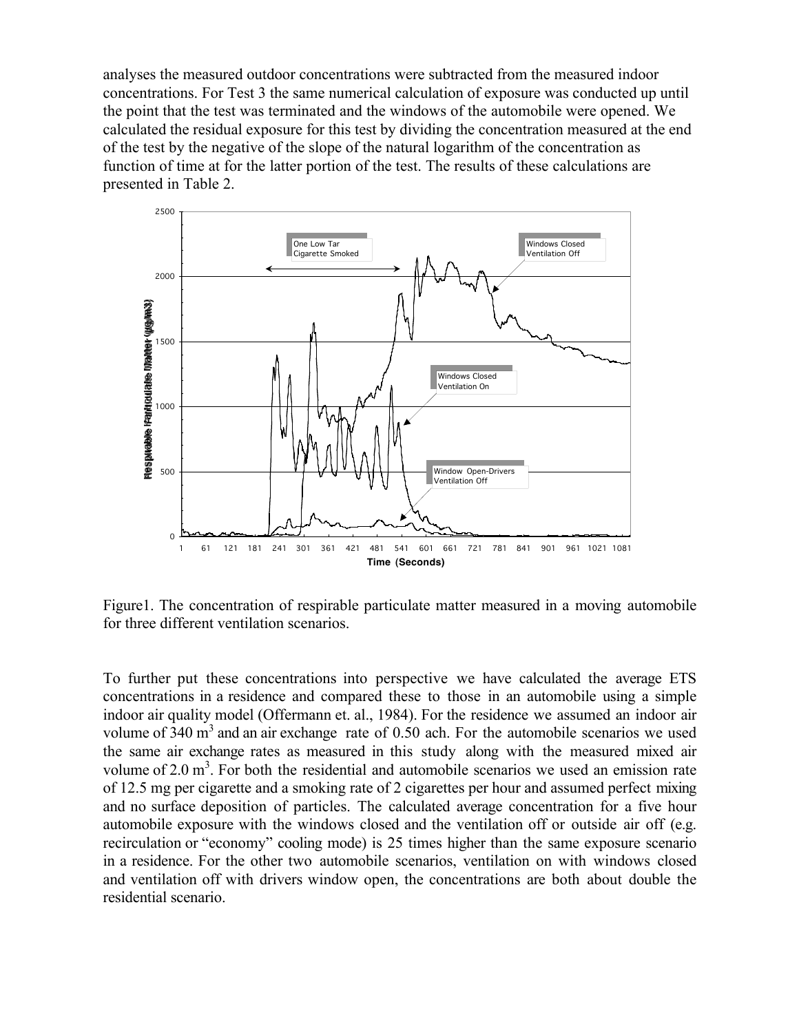analyses the measured outdoor concentrations were subtracted from the measured indoor concentrations. For Test 3 the same numerical calculation of exposure was conducted up until the point that the test was terminated and the windows of the automobile were opened. We calculated the residual exposure for this test by dividing the concentration measured at the end of the test by the negative of the slope of the natural logarithm of the concentration as function of time at for the latter portion of the test. The results of these calculations are presented in Table 2.



Figure1. The concentration of respirable particulate matter measured in a moving automobile for three different ventilation scenarios.

To further put these concentrations into perspective we have calculated the average ETS concentrations in a residence and compared these to those in an automobile using a simple indoor air quality model (Offermann et. al., 1984). For the residence we assumed an indoor air volume of  $340 \text{ m}^3$  and an air exchange rate of 0.50 ach. For the automobile scenarios we used the same air exchange rates as measured in this study along with the measured mixed air volume of  $2.0 \text{ m}^3$ . For both the residential and automobile scenarios we used an emission rate of 12.5 mg per cigarette and a smoking rate of 2 cigarettes per hour and assumed perfect mixing and no surface deposition of particles. The calculated average concentration for a five hour automobile exposure with the windows closed and the ventilation off or outside air off (e.g. recirculation or "economy" cooling mode) is 25 times higher than the same exposure scenario in a residence. For the other two automobile scenarios, ventilation on with windows closed and ventilation off with drivers window open, the concentrations are both about double the residential scenario.